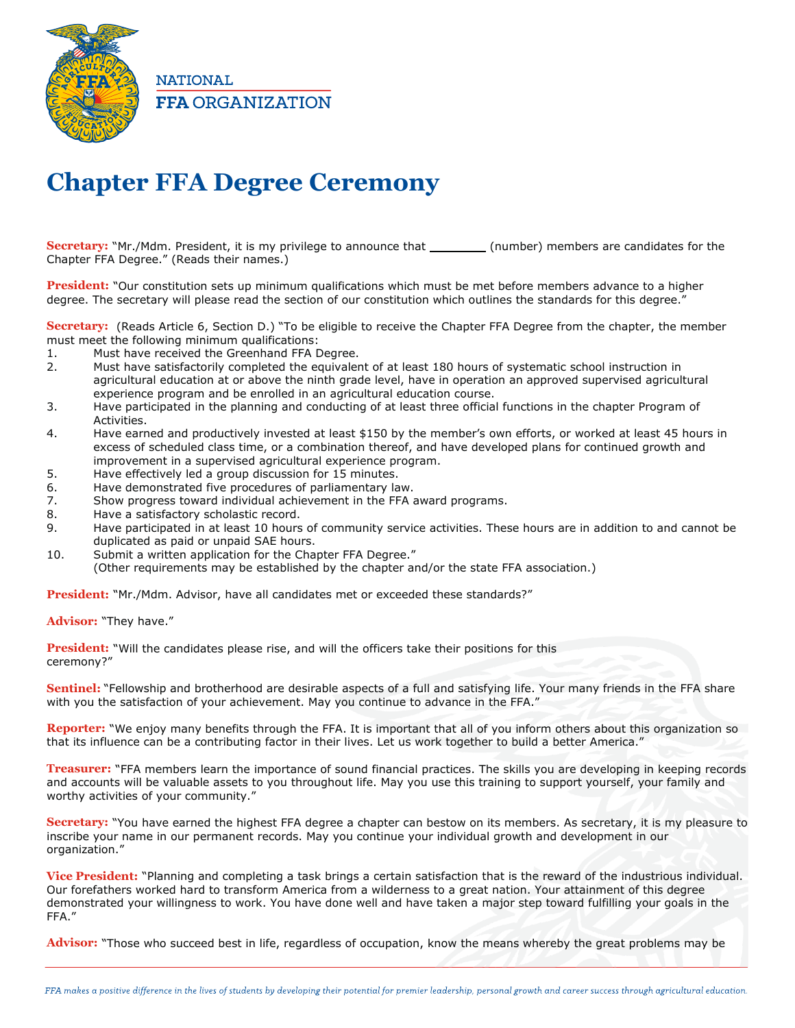

**NATIONAL FFA ORGANIZATION** 

## **Chapter FFA Degree Ceremony**

**Secretary:** "Mr./Mdm. President, it is my privilege to announce that (number) members are candidates for the Chapter FFA Degree." (Reads their names.)

**President:** "Our constitution sets up minimum qualifications which must be met before members advance to a higher degree. The secretary will please read the section of our constitution which outlines the standards for this degree."

**Secretary:** (Reads Article 6, Section D.) "To be eligible to receive the Chapter FFA Degree from the chapter, the member must meet the following minimum qualifications:

- 1. Must have received the Greenhand FFA Degree.
- 2. Must have satisfactorily completed the equivalent of at least 180 hours of systematic school instruction in agricultural education at or above the ninth grade level, have in operation an approved supervised agricultural experience program and be enrolled in an agricultural education course.
- 3. Have participated in the planning and conducting of at least three official functions in the chapter Program of Activities.
- 4. Have earned and productively invested at least \$150 by the member's own efforts, or worked at least 45 hours in excess of scheduled class time, or a combination thereof, and have developed plans for continued growth and improvement in a supervised agricultural experience program.
- 5. Have effectively led a group discussion for 15 minutes.
- 6. Have demonstrated five procedures of parliamentary law.
- 7. Show progress toward individual achievement in the FFA award programs.
- 8. Have a satisfactory scholastic record.
- 9. Have participated in at least 10 hours of community service activities. These hours are in addition to and cannot be duplicated as paid or unpaid SAE hours.
- 10. Submit a written application for the Chapter FFA Degree."
- (Other requirements may be established by the chapter and/or the state FFA association.)

**President:** "Mr./Mdm. Advisor, have all candidates met or exceeded these standards?"

## **Advisor:** "They have."

**President:** "Will the candidates please rise, and will the officers take their positions for this ceremony?"

**Sentinel:** "Fellowship and brotherhood are desirable aspects of a full and satisfying life. Your many friends in the FFA share with you the satisfaction of your achievement. May you continue to advance in the FFA."

**Reporter:** "We enjoy many benefits through the FFA. It is important that all of you inform others about this organization so that its influence can be a contributing factor in their lives. Let us work together to build a better America."

**Treasurer:** "FFA members learn the importance of sound financial practices. The skills you are developing in keeping records and accounts will be valuable assets to you throughout life. May you use this training to support yourself, your family and worthy activities of your community."

**Secretary:** "You have earned the highest FFA degree a chapter can bestow on its members. As secretary, it is my pleasure to inscribe your name in our permanent records. May you continue your individual growth and development in our organization."

**Vice President:** "Planning and completing a task brings a certain satisfaction that is the reward of the industrious individual. Our forefathers worked hard to transform America from a wilderness to a great nation. Your attainment of this degree demonstrated your willingness to work. You have done well and have taken a major step toward fulfilling your goals in the FFA."

**Advisor:** "Those who succeed best in life, regardless of occupation, know the means whereby the great problems may be